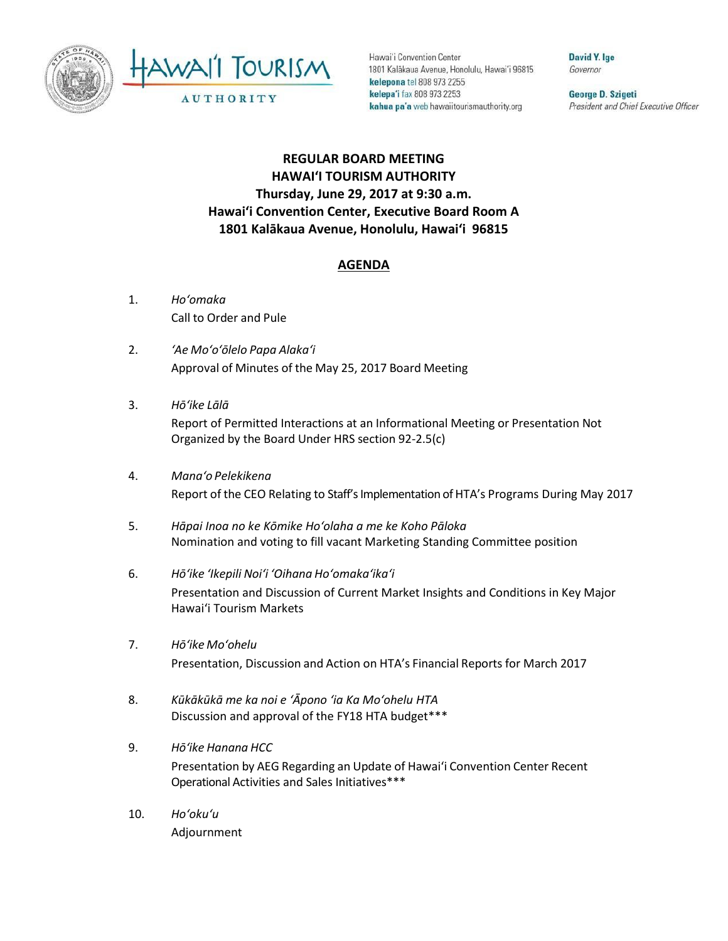



Hawai'i Convention Center 1801 Kalākaua Avenue, Honolulu, Hawai'i 96815 kelepona tel 808 973 2255 kelepa'i fax 808 973 2253 kahua pa'a web hawaiitourismauthority.org

David Y. Ige Governor

George D. Szigeti President and Chief Executive Officer

## **REGULAR BOARD MEETING HAWAI'I TOURISM AUTHORITY Thursday, June 29, 2017 at 9:30 a.m. Hawai'i Convention Center, Executive Board Room A 1801 Kalākaua Avenue, Honolulu, Hawai'i 96815**

## **AGENDA**

- 1. *Ho'omaka* Call to Order and Pule
- 2. *'Ae Mo'o'ōlelo Papa Alaka'i* Approval of Minutes of the May 25, 2017 Board Meeting
- 3. *Hō'ike Lālā* Report of Permitted Interactions at an Informational Meeting or Presentation Not Organized by the Board Under HRS section 92-2.5(c)
- 4. *Mana'o Pelekikena* Report of the CEO Relating to Staff's Implementation of HTA's Programs During May 2017
- 5. *Hāpai Inoa no ke Kōmike Ho'olaha a me ke Koho Pāloka* Nomination and voting to fill vacant Marketing Standing Committee position
- 6. *Hō'ike 'Ikepili Noi'i 'Oihana Ho'omaka'ika'i* Presentation and Discussion of Current Market Insights and Conditions in Key Major Hawai'i Tourism Markets
- 7. *Hō'ike Mo'ohelu* Presentation, Discussion and Action on HTA's Financial Reports for March 2017
- 8. *Kūkākūkā me ka noi e 'Āpono 'ia Ka Mo'ohelu HTA* Discussion and approval of the FY18 HTA budget\*\*\*
- 9. *Hōʻike Hanana HCC* Presentation by AEG Regarding an Update of Hawai'i Convention Center Recent Operational Activities and Sales Initiatives\*\*\*
- 10. *Ho'oku'u* Adjournment